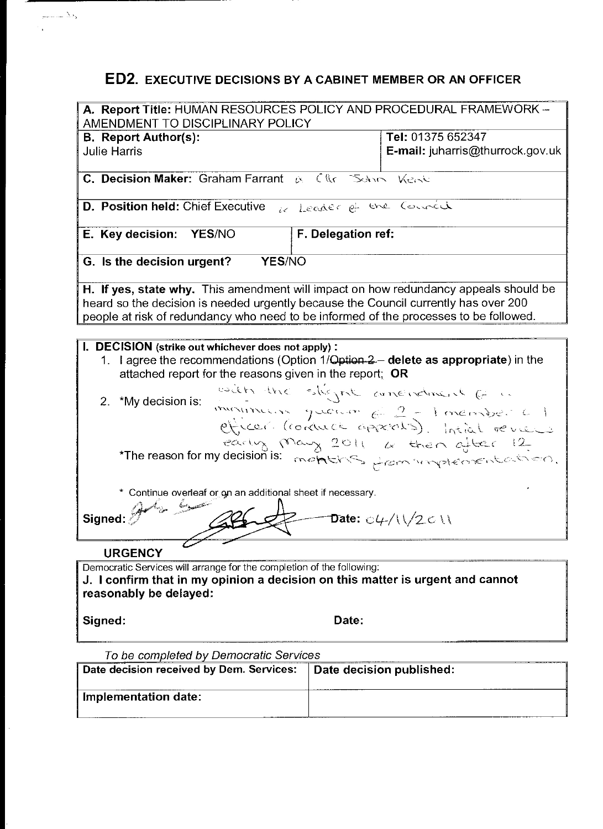# **ED2. EXECUTIVE DECISIONS BY A CABINET MEMBER OR AN OFFICER**

وفاله عباديم

| A. Report Title: HUMAN RESOURCES POLICY AND PROCEDURAL FRAMEWORK -<br>AMENDMENT TO DISCIPLINARY POLICY   |       |                                                                 |  |  |  |
|----------------------------------------------------------------------------------------------------------|-------|-----------------------------------------------------------------|--|--|--|
|                                                                                                          |       |                                                                 |  |  |  |
| <b>B.</b> Report Author(s):                                                                              |       | Tel: 01375 652347                                               |  |  |  |
| <b>Julie Harris</b>                                                                                      |       | E-mail: juharris@thurrock.gov.uk                                |  |  |  |
| C. Decision Maker: Graham Farrant & Clkr School Weaks                                                    |       |                                                                 |  |  |  |
| <b>D. Position held:</b> Chief Executive $\iota_{\ell}$ Leader of the Council                            |       |                                                                 |  |  |  |
| F. Delegation ref:<br>E. Key decision: YES/NO                                                            |       |                                                                 |  |  |  |
| <b>YES/NO</b><br>G. Is the decision urgent?                                                              |       |                                                                 |  |  |  |
| H. If yes, state why. This amendment will impact on how redundancy appeals should be                     |       |                                                                 |  |  |  |
| heard so the decision is needed urgently because the Council currently has over 200                      |       |                                                                 |  |  |  |
| people at risk of redundancy who need to be informed of the processes to be followed.                    |       |                                                                 |  |  |  |
|                                                                                                          |       |                                                                 |  |  |  |
|                                                                                                          |       |                                                                 |  |  |  |
| I. DECISION (strike out whichever does not apply):                                                       |       |                                                                 |  |  |  |
| 1. I agree the recommendations (Option 1/Qption 2 - delete as appropriate) in the                        |       |                                                                 |  |  |  |
| attached report for the reasons given in the report; OR                                                  |       |                                                                 |  |  |  |
|                                                                                                          |       | esden the stigent amendment ( :                                 |  |  |  |
| 2.<br>*My decision is:                                                                                   |       |                                                                 |  |  |  |
|                                                                                                          |       |                                                                 |  |  |  |
|                                                                                                          |       |                                                                 |  |  |  |
|                                                                                                          |       |                                                                 |  |  |  |
|                                                                                                          |       |                                                                 |  |  |  |
| The reason for my decision is: months from whypeopened and the 12.                                       |       |                                                                 |  |  |  |
|                                                                                                          |       |                                                                 |  |  |  |
| * Continue overleaf or on an additional sheet if necessary.                                              |       |                                                                 |  |  |  |
| i<br>Tan                                                                                                 |       |                                                                 |  |  |  |
|                                                                                                          |       |                                                                 |  |  |  |
| Signed:                                                                                                  |       | Date: $\mathrm{C}4\mathrm{C}/\mathrm{C}1\mathrm{C}1\mathrm{C}1$ |  |  |  |
|                                                                                                          |       |                                                                 |  |  |  |
| <b>URGENCY</b>                                                                                           |       |                                                                 |  |  |  |
| Democratic Services will arrange for the completion of the following:                                    |       |                                                                 |  |  |  |
|                                                                                                          |       |                                                                 |  |  |  |
| J. I confirm that in my opinion a decision on this matter is urgent and cannot<br>reasonably be delayed: |       |                                                                 |  |  |  |
|                                                                                                          |       |                                                                 |  |  |  |
|                                                                                                          |       |                                                                 |  |  |  |
| Signed:                                                                                                  | Date: |                                                                 |  |  |  |
|                                                                                                          |       |                                                                 |  |  |  |
| To be completed by Democratic Services                                                                   |       |                                                                 |  |  |  |
| Date decision published:<br>Date decision received by Dem. Services:                                     |       |                                                                 |  |  |  |
|                                                                                                          |       |                                                                 |  |  |  |
| Implementation date:                                                                                     |       |                                                                 |  |  |  |
|                                                                                                          |       |                                                                 |  |  |  |
|                                                                                                          |       |                                                                 |  |  |  |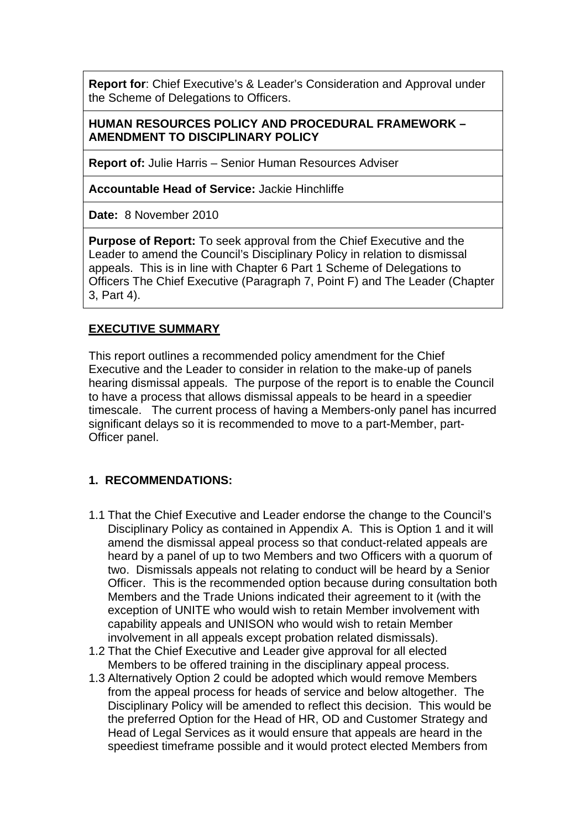**Report for**: Chief Executive's & Leader's Consideration and Approval under the Scheme of Delegations to Officers.

#### **HUMAN RESOURCES POLICY AND PROCEDURAL FRAMEWORK – AMENDMENT TO DISCIPLINARY POLICY**

**Report of:** Julie Harris – Senior Human Resources Adviser

**Accountable Head of Service:** Jackie Hinchliffe

**Date:** 8 November 2010

**Purpose of Report:** To seek approval from the Chief Executive and the Leader to amend the Council's Disciplinary Policy in relation to dismissal appeals. This is in line with Chapter 6 Part 1 Scheme of Delegations to Officers The Chief Executive (Paragraph 7, Point F) and The Leader (Chapter 3, Part 4).

#### **EXECUTIVE SUMMARY**

This report outlines a recommended policy amendment for the Chief Executive and the Leader to consider in relation to the make-up of panels hearing dismissal appeals. The purpose of the report is to enable the Council to have a process that allows dismissal appeals to be heard in a speedier timescale. The current process of having a Members-only panel has incurred significant delays so it is recommended to move to a part-Member, part-Officer panel.

# **1. RECOMMENDATIONS:**

- 1.1 That the Chief Executive and Leader endorse the change to the Council's Disciplinary Policy as contained in Appendix A. This is Option 1 and it will amend the dismissal appeal process so that conduct-related appeals are heard by a panel of up to two Members and two Officers with a quorum of two. Dismissals appeals not relating to conduct will be heard by a Senior Officer. This is the recommended option because during consultation both Members and the Trade Unions indicated their agreement to it (with the exception of UNITE who would wish to retain Member involvement with capability appeals and UNISON who would wish to retain Member involvement in all appeals except probation related dismissals).
- 1.2 That the Chief Executive and Leader give approval for all elected Members to be offered training in the disciplinary appeal process.
- 1.3 Alternatively Option 2 could be adopted which would remove Members from the appeal process for heads of service and below altogether. The Disciplinary Policy will be amended to reflect this decision. This would be the preferred Option for the Head of HR, OD and Customer Strategy and Head of Legal Services as it would ensure that appeals are heard in the speediest timeframe possible and it would protect elected Members from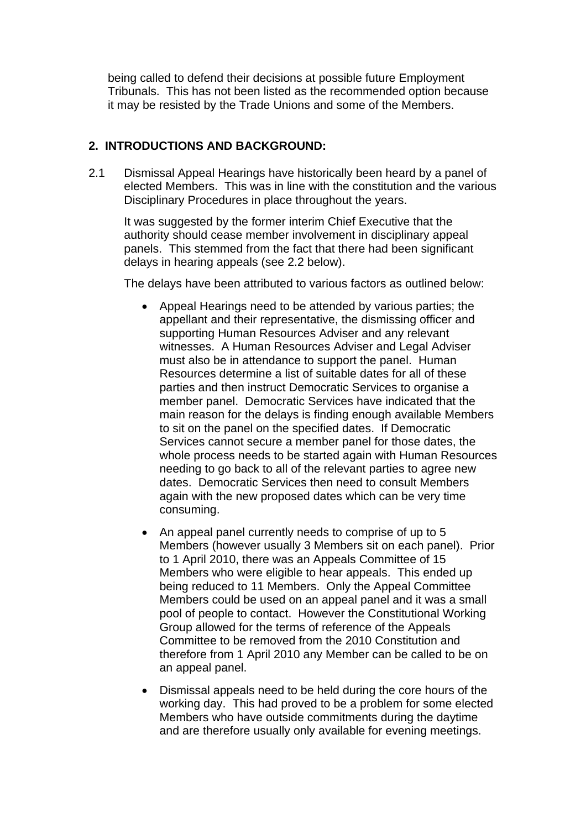being called to defend their decisions at possible future Employment Tribunals. This has not been listed as the recommended option because it may be resisted by the Trade Unions and some of the Members.

#### **2. INTRODUCTIONS AND BACKGROUND:**

2.1 Dismissal Appeal Hearings have historically been heard by a panel of elected Members. This was in line with the constitution and the various Disciplinary Procedures in place throughout the years.

It was suggested by the former interim Chief Executive that the authority should cease member involvement in disciplinary appeal panels. This stemmed from the fact that there had been significant delays in hearing appeals (see 2.2 below).

The delays have been attributed to various factors as outlined below:

- Appeal Hearings need to be attended by various parties; the appellant and their representative, the dismissing officer and supporting Human Resources Adviser and any relevant witnesses. A Human Resources Adviser and Legal Adviser must also be in attendance to support the panel. Human Resources determine a list of suitable dates for all of these parties and then instruct Democratic Services to organise a member panel. Democratic Services have indicated that the main reason for the delays is finding enough available Members to sit on the panel on the specified dates. If Democratic Services cannot secure a member panel for those dates, the whole process needs to be started again with Human Resources needing to go back to all of the relevant parties to agree new dates. Democratic Services then need to consult Members again with the new proposed dates which can be very time consuming.
- An appeal panel currently needs to comprise of up to 5 Members (however usually 3 Members sit on each panel). Prior to 1 April 2010, there was an Appeals Committee of 15 Members who were eligible to hear appeals. This ended up being reduced to 11 Members. Only the Appeal Committee Members could be used on an appeal panel and it was a small pool of people to contact. However the Constitutional Working Group allowed for the terms of reference of the Appeals Committee to be removed from the 2010 Constitution and therefore from 1 April 2010 any Member can be called to be on an appeal panel.
- Dismissal appeals need to be held during the core hours of the working day. This had proved to be a problem for some elected Members who have outside commitments during the daytime and are therefore usually only available for evening meetings.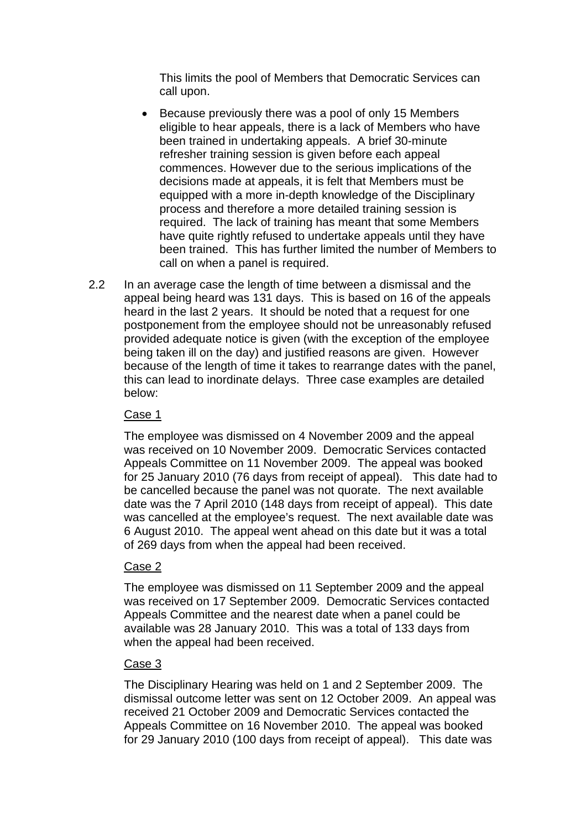This limits the pool of Members that Democratic Services can call upon.

- Because previously there was a pool of only 15 Members eligible to hear appeals, there is a lack of Members who have been trained in undertaking appeals. A brief 30-minute refresher training session is given before each appeal commences. However due to the serious implications of the decisions made at appeals, it is felt that Members must be equipped with a more in-depth knowledge of the Disciplinary process and therefore a more detailed training session is required. The lack of training has meant that some Members have quite rightly refused to undertake appeals until they have been trained. This has further limited the number of Members to call on when a panel is required.
- 2.2 In an average case the length of time between a dismissal and the appeal being heard was 131 days. This is based on 16 of the appeals heard in the last 2 years. It should be noted that a request for one postponement from the employee should not be unreasonably refused provided adequate notice is given (with the exception of the employee being taken ill on the day) and justified reasons are given. However because of the length of time it takes to rearrange dates with the panel, this can lead to inordinate delays. Three case examples are detailed below:

#### Case 1

The employee was dismissed on 4 November 2009 and the appeal was received on 10 November 2009. Democratic Services contacted Appeals Committee on 11 November 2009. The appeal was booked for 25 January 2010 (76 days from receipt of appeal). This date had to be cancelled because the panel was not quorate. The next available date was the 7 April 2010 (148 days from receipt of appeal). This date was cancelled at the employee's request. The next available date was 6 August 2010. The appeal went ahead on this date but it was a total of 269 days from when the appeal had been received.

# Case 2

The employee was dismissed on 11 September 2009 and the appeal was received on 17 September 2009. Democratic Services contacted Appeals Committee and the nearest date when a panel could be available was 28 January 2010. This was a total of 133 days from when the appeal had been received.

#### Case 3

The Disciplinary Hearing was held on 1 and 2 September 2009. The dismissal outcome letter was sent on 12 October 2009. An appeal was received 21 October 2009 and Democratic Services contacted the Appeals Committee on 16 November 2010. The appeal was booked for 29 January 2010 (100 days from receipt of appeal). This date was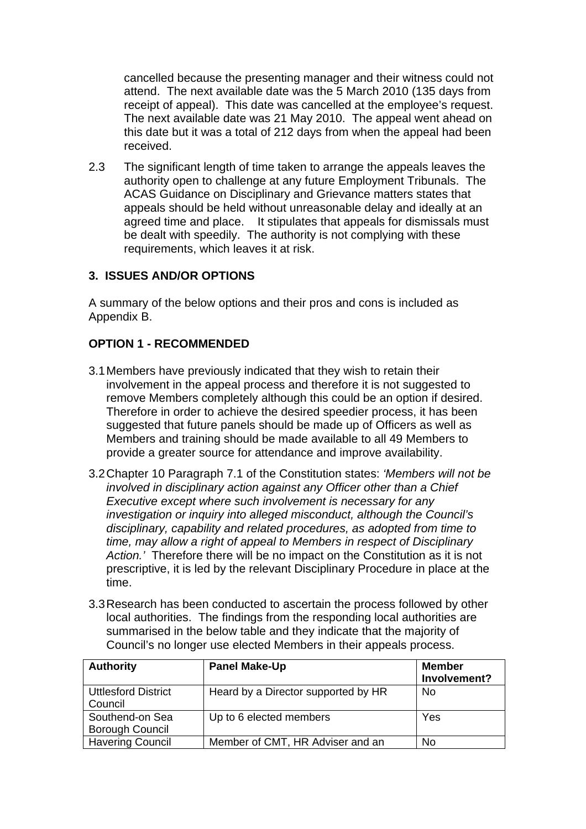cancelled because the presenting manager and their witness could not attend. The next available date was the 5 March 2010 (135 days from receipt of appeal). This date was cancelled at the employee's request. The next available date was 21 May 2010. The appeal went ahead on this date but it was a total of 212 days from when the appeal had been received.

2.3 The significant length of time taken to arrange the appeals leaves the authority open to challenge at any future Employment Tribunals. The ACAS Guidance on Disciplinary and Grievance matters states that appeals should be held without unreasonable delay and ideally at an agreed time and place. It stipulates that appeals for dismissals must be dealt with speedily. The authority is not complying with these requirements, which leaves it at risk.

#### **3. ISSUES AND/OR OPTIONS**

A summary of the below options and their pros and cons is included as Appendix B.

#### **OPTION 1 - RECOMMENDED**

- 3.1 Members have previously indicated that they wish to retain their involvement in the appeal process and therefore it is not suggested to remove Members completely although this could be an option if desired. Therefore in order to achieve the desired speedier process, it has been suggested that future panels should be made up of Officers as well as Members and training should be made available to all 49 Members to provide a greater source for attendance and improve availability.
- 3.2 Chapter 10 Paragraph 7.1 of the Constitution states: *'Members will not be involved in disciplinary action against any Officer other than a Chief Executive except where such involvement is necessary for any investigation or inquiry into alleged misconduct, although the Council's disciplinary, capability and related procedures, as adopted from time to time, may allow a right of appeal to Members in respect of Disciplinary Action.'* Therefore there will be no impact on the Constitution as it is not prescriptive, it is led by the relevant Disciplinary Procedure in place at the time.
- 3.3 Research has been conducted to ascertain the process followed by other local authorities. The findings from the responding local authorities are summarised in the below table and they indicate that the majority of Council's no longer use elected Members in their appeals process.

| <b>Authority</b>                          | <b>Panel Make-Up</b>                | <b>Member</b><br>Involvement? |
|-------------------------------------------|-------------------------------------|-------------------------------|
| <b>Uttlesford District</b><br>Council     | Heard by a Director supported by HR | No                            |
| Southend-on Sea<br><b>Borough Council</b> | Up to 6 elected members             | Yes                           |
| <b>Havering Council</b>                   | Member of CMT, HR Adviser and an    | No                            |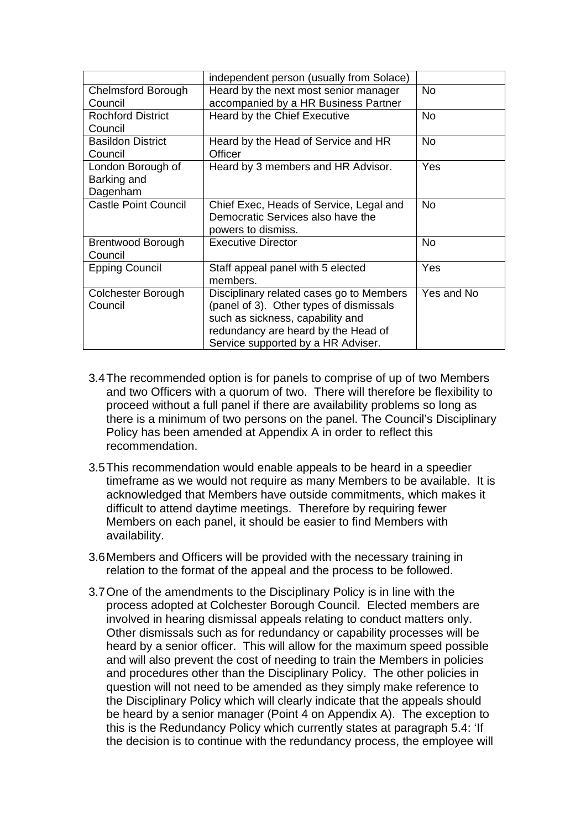|                                              | independent person (usually from Solace)                                                                                                                                                             |            |
|----------------------------------------------|------------------------------------------------------------------------------------------------------------------------------------------------------------------------------------------------------|------------|
| Chelmsford Borough<br>Council                | Heard by the next most senior manager<br>accompanied by a HR Business Partner                                                                                                                        | <b>No</b>  |
| <b>Rochford District</b><br>Council          | Heard by the Chief Executive                                                                                                                                                                         | No.        |
| <b>Basildon District</b><br>Council          | Heard by the Head of Service and HR<br>Officer                                                                                                                                                       | No.        |
| London Borough of<br>Barking and<br>Dagenham | Heard by 3 members and HR Advisor.                                                                                                                                                                   | Yes        |
| <b>Castle Point Council</b>                  | Chief Exec, Heads of Service, Legal and<br>Democratic Services also have the<br>powers to dismiss.                                                                                                   | No         |
| <b>Brentwood Borough</b><br>Council          | <b>Executive Director</b>                                                                                                                                                                            | No         |
| <b>Epping Council</b>                        | Staff appeal panel with 5 elected<br>members.                                                                                                                                                        | Yes        |
| Colchester Borough<br>Council                | Disciplinary related cases go to Members<br>(panel of 3). Other types of dismissals<br>such as sickness, capability and<br>redundancy are heard by the Head of<br>Service supported by a HR Adviser. | Yes and No |

- 3.4 The recommended option is for panels to comprise of up of two Members and two Officers with a quorum of two. There will therefore be flexibility to proceed without a full panel if there are availability problems so long as there is a minimum of two persons on the panel. The Council's Disciplinary Policy has been amended at Appendix A in order to reflect this recommendation.
- 3.5 This recommendation would enable appeals to be heard in a speedier timeframe as we would not require as many Members to be available. It is acknowledged that Members have outside commitments, which makes it difficult to attend daytime meetings. Therefore by requiring fewer Members on each panel, it should be easier to find Members with availability.
- 3.6 Members and Officers will be provided with the necessary training in relation to the format of the appeal and the process to be followed.
- 3.7 One of the amendments to the Disciplinary Policy is in line with the process adopted at Colchester Borough Council. Elected members are involved in hearing dismissal appeals relating to conduct matters only. Other dismissals such as for redundancy or capability processes will be heard by a senior officer. This will allow for the maximum speed possible and will also prevent the cost of needing to train the Members in policies and procedures other than the Disciplinary Policy. The other policies in question will not need to be amended as they simply make reference to the Disciplinary Policy which will clearly indicate that the appeals should be heard by a senior manager (Point 4 on Appendix A). The exception to this is the Redundancy Policy which currently states at paragraph 5.4: 'If the decision is to continue with the redundancy process, the employee will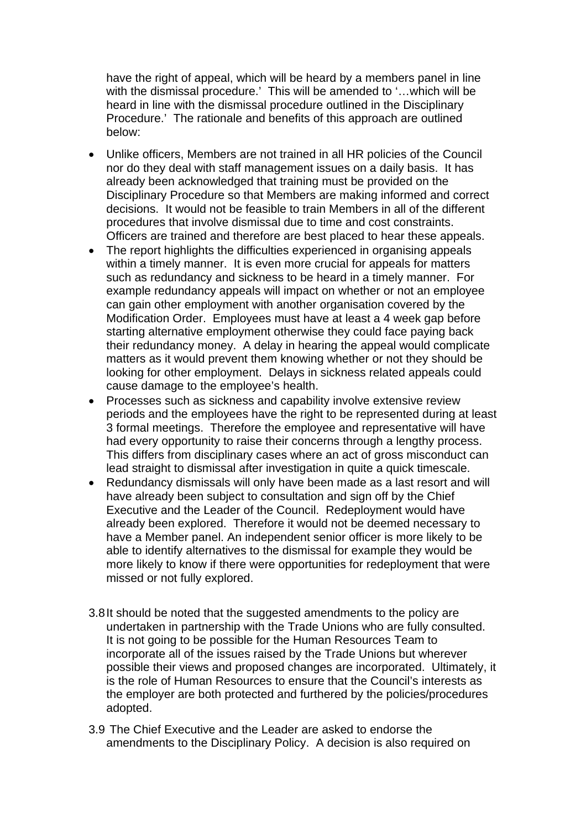have the right of appeal, which will be heard by a members panel in line with the dismissal procedure.' This will be amended to '…which will be heard in line with the dismissal procedure outlined in the Disciplinary Procedure.' The rationale and benefits of this approach are outlined below:

- Unlike officers, Members are not trained in all HR policies of the Council nor do they deal with staff management issues on a daily basis. It has already been acknowledged that training must be provided on the Disciplinary Procedure so that Members are making informed and correct decisions. It would not be feasible to train Members in all of the different procedures that involve dismissal due to time and cost constraints. Officers are trained and therefore are best placed to hear these appeals.
- The report highlights the difficulties experienced in organising appeals within a timely manner. It is even more crucial for appeals for matters such as redundancy and sickness to be heard in a timely manner. For example redundancy appeals will impact on whether or not an employee can gain other employment with another organisation covered by the Modification Order. Employees must have at least a 4 week gap before starting alternative employment otherwise they could face paying back their redundancy money. A delay in hearing the appeal would complicate matters as it would prevent them knowing whether or not they should be looking for other employment. Delays in sickness related appeals could cause damage to the employee's health.
- Processes such as sickness and capability involve extensive review periods and the employees have the right to be represented during at least 3 formal meetings. Therefore the employee and representative will have had every opportunity to raise their concerns through a lengthy process. This differs from disciplinary cases where an act of gross misconduct can lead straight to dismissal after investigation in quite a quick timescale.
- Redundancy dismissals will only have been made as a last resort and will have already been subject to consultation and sign off by the Chief Executive and the Leader of the Council. Redeployment would have already been explored. Therefore it would not be deemed necessary to have a Member panel. An independent senior officer is more likely to be able to identify alternatives to the dismissal for example they would be more likely to know if there were opportunities for redeployment that were missed or not fully explored.
- 3.8 It should be noted that the suggested amendments to the policy are undertaken in partnership with the Trade Unions who are fully consulted. It is not going to be possible for the Human Resources Team to incorporate all of the issues raised by the Trade Unions but wherever possible their views and proposed changes are incorporated. Ultimately, it is the role of Human Resources to ensure that the Council's interests as the employer are both protected and furthered by the policies/procedures adopted.
- 3.9 The Chief Executive and the Leader are asked to endorse the amendments to the Disciplinary Policy. A decision is also required on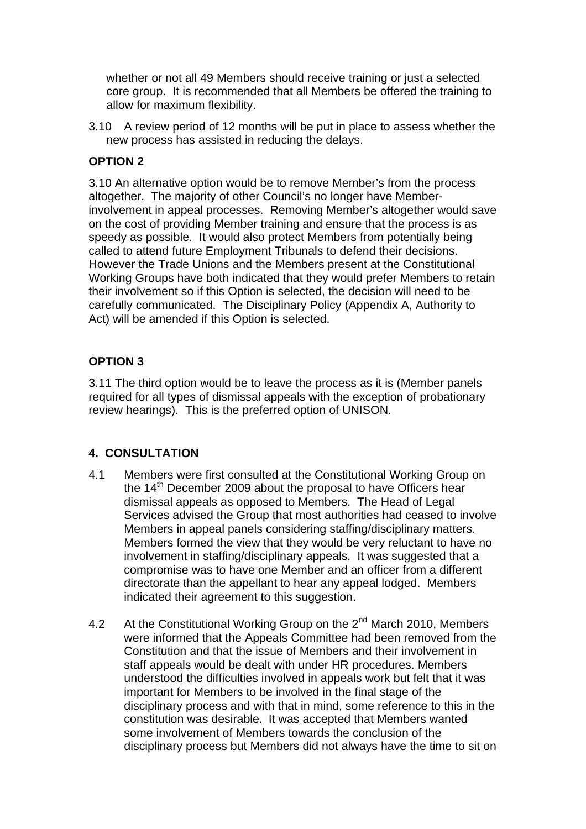whether or not all 49 Members should receive training or just a selected core group. It is recommended that all Members be offered the training to allow for maximum flexibility.

3.10 A review period of 12 months will be put in place to assess whether the new process has assisted in reducing the delays.

# **OPTION 2**

3.10 An alternative option would be to remove Member's from the process altogether. The majority of other Council's no longer have Memberinvolvement in appeal processes. Removing Member's altogether would save on the cost of providing Member training and ensure that the process is as speedy as possible. It would also protect Members from potentially being called to attend future Employment Tribunals to defend their decisions. However the Trade Unions and the Members present at the Constitutional Working Groups have both indicated that they would prefer Members to retain their involvement so if this Option is selected, the decision will need to be carefully communicated. The Disciplinary Policy (Appendix A, Authority to Act) will be amended if this Option is selected.

# **OPTION 3**

3.11 The third option would be to leave the process as it is (Member panels required for all types of dismissal appeals with the exception of probationary review hearings). This is the preferred option of UNISON.

# **4. CONSULTATION**

- 4.1 Members were first consulted at the Constitutional Working Group on the  $14<sup>th</sup>$  December 2009 about the proposal to have Officers hear dismissal appeals as opposed to Members. The Head of Legal Services advised the Group that most authorities had ceased to involve Members in appeal panels considering staffing/disciplinary matters. Members formed the view that they would be very reluctant to have no involvement in staffing/disciplinary appeals. It was suggested that a compromise was to have one Member and an officer from a different directorate than the appellant to hear any appeal lodged. Members indicated their agreement to this suggestion.
- 4.2 At the Constitutional Working Group on the 2<sup>nd</sup> March 2010, Members were informed that the Appeals Committee had been removed from the Constitution and that the issue of Members and their involvement in staff appeals would be dealt with under HR procedures. Members understood the difficulties involved in appeals work but felt that it was important for Members to be involved in the final stage of the disciplinary process and with that in mind, some reference to this in the constitution was desirable. It was accepted that Members wanted some involvement of Members towards the conclusion of the disciplinary process but Members did not always have the time to sit on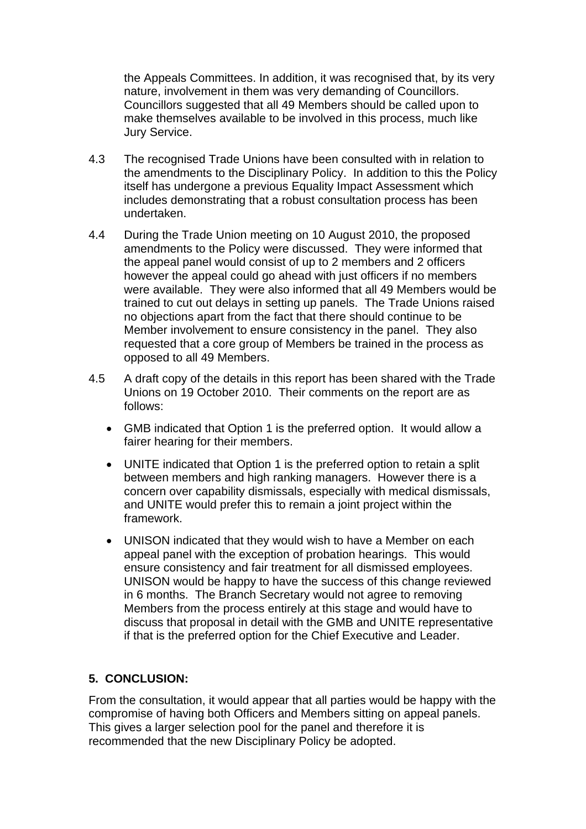the Appeals Committees. In addition, it was recognised that, by its very nature, involvement in them was very demanding of Councillors. Councillors suggested that all 49 Members should be called upon to make themselves available to be involved in this process, much like Jury Service.

- 4.3 The recognised Trade Unions have been consulted with in relation to the amendments to the Disciplinary Policy. In addition to this the Policy itself has undergone a previous Equality Impact Assessment which includes demonstrating that a robust consultation process has been undertaken.
- 4.4 During the Trade Union meeting on 10 August 2010, the proposed amendments to the Policy were discussed. They were informed that the appeal panel would consist of up to 2 members and 2 officers however the appeal could go ahead with just officers if no members were available. They were also informed that all 49 Members would be trained to cut out delays in setting up panels. The Trade Unions raised no objections apart from the fact that there should continue to be Member involvement to ensure consistency in the panel. They also requested that a core group of Members be trained in the process as opposed to all 49 Members.
- 4.5 A draft copy of the details in this report has been shared with the Trade Unions on 19 October 2010. Their comments on the report are as follows:
	- GMB indicated that Option 1 is the preferred option. It would allow a fairer hearing for their members.
	- UNITE indicated that Option 1 is the preferred option to retain a split between members and high ranking managers. However there is a concern over capability dismissals, especially with medical dismissals, and UNITE would prefer this to remain a joint project within the framework.
	- UNISON indicated that they would wish to have a Member on each appeal panel with the exception of probation hearings. This would ensure consistency and fair treatment for all dismissed employees. UNISON would be happy to have the success of this change reviewed in 6 months. The Branch Secretary would not agree to removing Members from the process entirely at this stage and would have to discuss that proposal in detail with the GMB and UNITE representative if that is the preferred option for the Chief Executive and Leader.

# **5. CONCLUSION:**

From the consultation, it would appear that all parties would be happy with the compromise of having both Officers and Members sitting on appeal panels. This gives a larger selection pool for the panel and therefore it is recommended that the new Disciplinary Policy be adopted.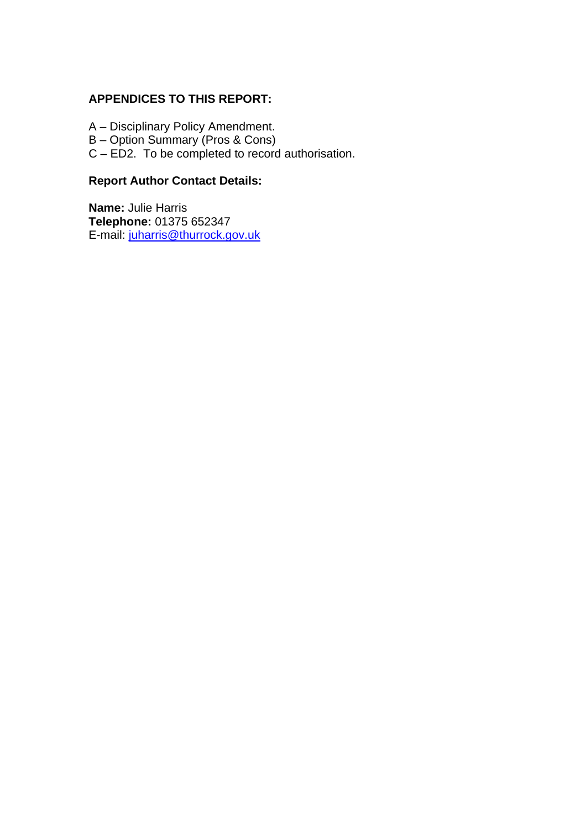### **APPENDICES TO THIS REPORT:**

- A Disciplinary Policy Amendment.
- B Option Summary (Pros & Cons)
- C ED2. To be completed to record authorisation.

# **Report Author Contact Details:**

**Name:** Julie Harris **Telephone:** 01375 652347 E-mail: [juharris@thurrock.gov.uk](mailto:juharris@thurrock.gov.uk)